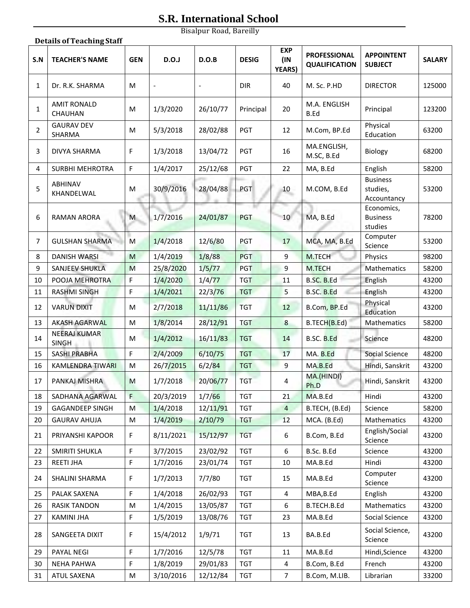## **S.R. International School**

Bisalpur Road, Bareilly

|                | <b>Details of Teaching Staff</b>    |            |                          |          |              |                                    |                                             |                                            |               |  |  |
|----------------|-------------------------------------|------------|--------------------------|----------|--------------|------------------------------------|---------------------------------------------|--------------------------------------------|---------------|--|--|
| S.N            | <b>TEACHER'S NAME</b>               | <b>GEN</b> | D.O.J                    | D.O.B    | <b>DESIG</b> | <b>EXP</b><br>(IN<br><b>YEARS)</b> | <b>PROFESSIONAL</b><br><b>QUALIFICATION</b> | <b>APPOINTENT</b><br><b>SUBJECT</b>        | <b>SALARY</b> |  |  |
| $\mathbf{1}$   | Dr. R.K. SHARMA                     | М          | $\overline{\phantom{a}}$ |          | <b>DIR</b>   | 40                                 | M. Sc. P.HD                                 | <b>DIRECTOR</b>                            | 125000        |  |  |
| 1              | <b>AMIT RONALD</b><br>CHAUHAN       | М          | 1/3/2020                 | 26/10/77 | Principal    | 20                                 | M.A. ENGLISH<br>B.Ed                        | Principal                                  | 123200        |  |  |
| $\overline{2}$ | <b>GAURAV DEV</b><br>SHARMA         | M          | 5/3/2018                 | 28/02/88 | PGT          | 12                                 | M.Com, BP.Ed                                | Physical<br>Education                      | 63200         |  |  |
| 3              | DIVYA SHARMA                        | F          | 1/3/2018                 | 13/04/72 | PGT          | 16                                 | MA.ENGLISH,<br>M.SC, B.Ed                   | Biology                                    | 68200         |  |  |
| 4              | <b>SURBHI MEHROTRA</b>              | F          | 1/4/2017                 | 25/12/68 | PGT          | 22                                 | MA, B.Ed                                    | English                                    | 58200         |  |  |
| 5              | <b>ABHINAV</b><br>KHANDELWAL        | M          | 30/9/2016                | 28/04/88 | <b>PGT</b>   | 10                                 | M.COM, B.Ed                                 | <b>Business</b><br>studies,<br>Accountancy | 53200         |  |  |
| 6              | <b>RAMAN ARORA</b>                  | M          | 1/7/2016                 | 24/01/87 | PGT          | 10 <sup>°</sup>                    | MA, B.Ed                                    | Economics,<br><b>Business</b><br>studies   | 78200         |  |  |
| 7              | <b>GULSHAN SHARMA</b>               | M          | 1/4/2018                 | 12/6/80  | PGT          | 17                                 | MCA, MA, B.Ed                               | Computer<br>Science                        | 53200         |  |  |
| 8              | <b>DANISH WARSI</b>                 | M          | 1/4/2019                 | 1/8/88   | PGT          | 9                                  | M.TECH                                      | Physics                                    | 98200         |  |  |
| 9              | <b>SANJEEV SHUKLA</b>               | M          | 25/8/2020                | 1/5/77   | PGT          | $\overline{9}$                     | M.TECH                                      | Mathematics                                | 58200         |  |  |
| 10             | POOJA MEHROTRA                      | F          | 1/4/2020                 | 1/4/77   | <b>TGT</b>   | 11                                 | B.SC. B.Ed                                  | English                                    | 43200         |  |  |
| 11             | <b>RASHMI SINGH</b>                 | F          | 1/4/2021                 | 22/3/76  | <b>TGT</b>   | 5                                  | B.SC. B.Ed                                  | English                                    | 43200         |  |  |
| 12             | <b>VARUN DIXIT</b>                  | M          | 2/7/2018                 | 11/11/86 | <b>TGT</b>   | 12                                 | B.Com, BP.Ed                                | Physical<br>Education                      | 43200         |  |  |
| 13             | <b>AKASH AGARWAL</b>                | M          | 1/8/2014                 | 28/12/91 | <b>TGT</b>   | 8                                  | B.TECH(B.Ed)                                | Mathematics                                | 58200         |  |  |
| 14             | <b>NEERAJ KUMAR</b><br><b>SINGH</b> | M          | 1/4/2012                 | 16/11/83 | <b>TGT</b>   | 14                                 | B.SC. B.Ed                                  | Science                                    | 48200         |  |  |
| 15             | SASHI PRABHA                        | F          | 2/4/2009                 | 6/10/75  | <b>TGT</b>   | 17                                 | MA. B.Ed                                    | Social Science                             | 48200         |  |  |
| 16             | <b>KAMLENDRA TIWARI</b>             | M          | 26/7/2015                | 6/2/84   | <b>TGT</b>   | 9                                  | MA.B.Ed                                     | Hindi, Sanskrit                            | 43200         |  |  |
| 17             | PANKAJ MISHRA                       | M          | 1/7/2018                 | 20/06/77 | <b>TGT</b>   | 4                                  | MA.(HINDI)<br>Ph.D                          | Hindi, Sanskrit                            | 43200         |  |  |
| 18             | SADHANA AGARWAL                     | F.         | 20/3/2019                | 1/7/66   | <b>TGT</b>   | 21                                 | MA.B.Ed                                     | Hindi                                      | 43200         |  |  |
| 19             | <b>GAGANDEEP SINGH</b>              | M          | 1/4/2018                 | 12/11/91 | <b>TGT</b>   | $\overline{4}$                     | B.TECH, (B.Ed)                              | Science                                    | 58200         |  |  |
| 20             | <b>GAURAV AHUJA</b>                 | M          | 1/4/2019                 | 2/10/79  | <b>TGT</b>   | 12                                 | MCA. (B.Ed)                                 | Mathematics                                | 43200         |  |  |
| 21             | PRIYANSHI KAPOOR                    | F          | 8/11/2021                | 15/12/97 | <b>TGT</b>   | 6                                  | B.Com, B.Ed                                 | English/Social<br>Science                  | 43200         |  |  |
| 22             | SMIRITI SHUKLA                      | F          | 3/7/2015                 | 23/02/92 | <b>TGT</b>   | 6                                  | B.Sc. B.Ed                                  | Science                                    | 43200         |  |  |
| 23             | <b>REETI JHA</b>                    | F          | 1/7/2016                 | 23/01/74 | <b>TGT</b>   | 10                                 | MA.B.Ed                                     | Hindi                                      | 43200         |  |  |
| 24             | SHALINI SHARMA                      | F          | 1/7/2013                 | 7/7/80   | TGT          | 15                                 | MA.B.Ed                                     | Computer<br>Science                        | 43200         |  |  |
| 25             | PALAK SAXENA                        | F          | 1/4/2018                 | 26/02/93 | <b>TGT</b>   | 4                                  | MBA, B.Ed                                   | English                                    | 43200         |  |  |
| 26             | <b>RASIK TANDON</b>                 | M          | 1/4/2015                 | 13/05/87 | <b>TGT</b>   | 6                                  | B.TECH.B.Ed                                 | Mathematics                                | 43200         |  |  |
| 27             | <b>KAMINI JHA</b>                   | F          | 1/5/2019                 | 13/08/76 | TGT          | 23                                 | MA.B.Ed                                     | Social Science                             | 43200         |  |  |
| 28             | SANGEETA DIXIT                      | F          | 15/4/2012                | 1/9/71   | <b>TGT</b>   | 13                                 | BA.B.Ed                                     | Social Science,<br>Science                 | 43200         |  |  |
| 29             | PAYAL NEGI                          | F          | 1/7/2016                 | 12/5/78  | <b>TGT</b>   | 11                                 | MA.B.Ed                                     | Hindi, Science                             | 43200         |  |  |
| 30             | <b>NEHA PAHWA</b>                   | F          | 1/8/2019                 | 29/01/83 | <b>TGT</b>   | 4                                  | B.Com, B.Ed                                 | French                                     | 43200         |  |  |
| 31             | ATUL SAXENA                         | M          | 3/10/2016                | 12/12/84 | <b>TGT</b>   | $\overline{7}$                     | B.Com, M.LIB.                               | Librarian                                  | 33200         |  |  |